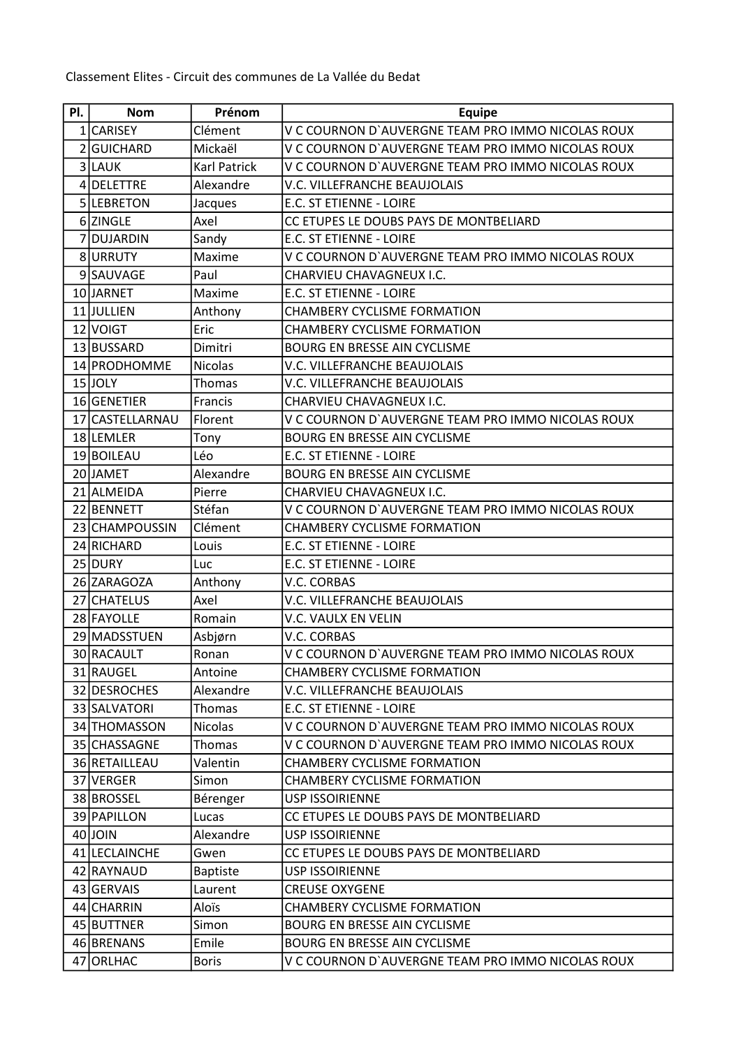Classement Elites - Circuit des communes de La Vallée du Bedat

| PI.            | <b>Nom</b>      | Prénom              | <b>Equipe</b>                                     |
|----------------|-----------------|---------------------|---------------------------------------------------|
|                | 1 CARISEY       | Clément             | V C COURNON D'AUVERGNE TEAM PRO IMMO NICOLAS ROUX |
| $\overline{2}$ | <b>GUICHARD</b> | Mickaël             | V C COURNON D'AUVERGNE TEAM PRO IMMO NICOLAS ROUX |
|                | 3LAUK           | <b>Karl Patrick</b> | V C COURNON D'AUVERGNE TEAM PRO IMMO NICOLAS ROUX |
|                | 4 DELETTRE      | Alexandre           | V.C. VILLEFRANCHE BEAUJOLAIS                      |
|                | 5LEBRETON       | Jacques             | E.C. ST ETIENNE - LOIRE                           |
|                | 6 ZINGLE        | Axel                | CC ETUPES LE DOUBS PAYS DE MONTBELIARD            |
| 7              | <b>DUJARDIN</b> | Sandy               | E.C. ST ETIENNE - LOIRE                           |
|                | 8URRUTY         | Maxime              | V C COURNON D'AUVERGNE TEAM PRO IMMO NICOLAS ROUX |
|                | 9SAUVAGE        | Paul                | CHARVIEU CHAVAGNEUX I.C.                          |
|                | 10JJARNET       | Maxime              | E.C. ST ETIENNE - LOIRE                           |
|                | 11JULLIEN       | Anthony             | <b>CHAMBERY CYCLISME FORMATION</b>                |
|                | 12 VOIGT        | Eric                | <b>CHAMBERY CYCLISME FORMATION</b>                |
|                | 13 BUSSARD      | Dimitri             | BOURG EN BRESSE AIN CYCLISME                      |
|                | 14 PRODHOMME    | <b>Nicolas</b>      | V.C. VILLEFRANCHE BEAUJOLAIS                      |
|                | $15$ JOLY       | Thomas              | V.C. VILLEFRANCHE BEAUJOLAIS                      |
|                | 16 GENETIER     | Francis             | CHARVIEU CHAVAGNEUX I.C.                          |
|                | 17 CASTELLARNAU | Florent             | V C COURNON D'AUVERGNE TEAM PRO IMMO NICOLAS ROUX |
|                | 18LEMLER        | Tony                | <b>BOURG EN BRESSE AIN CYCLISME</b>               |
|                | 19 BOILEAU      | Léo                 | E.C. ST ETIENNE - LOIRE                           |
|                | 20JJAMET        | Alexandre           | <b>BOURG EN BRESSE AIN CYCLISME</b>               |
|                | 21 ALMEIDA      | Pierre              | CHARVIEU CHAVAGNEUX I.C.                          |
|                | 22 BENNETT      | Stéfan              | V C COURNON D'AUVERGNE TEAM PRO IMMO NICOLAS ROUX |
|                | 23 CHAMPOUSSIN  | Clément             | <b>CHAMBERY CYCLISME FORMATION</b>                |
|                | 24 RICHARD      | Louis               | E.C. ST ETIENNE - LOIRE                           |
|                | 25 DURY         | Luc                 | E.C. ST ETIENNE - LOIRE                           |
|                | 26 ZARAGOZA     | Anthony             | V.C. CORBAS                                       |
|                | 27 CHATELUS     | Axel                | V.C. VILLEFRANCHE BEAUJOLAIS                      |
|                | 28 FAYOLLE      | Romain              | V.C. VAULX EN VELIN                               |
|                | 29 MADSSTUEN    | Asbjørn             | V.C. CORBAS                                       |
|                | 30 RACAULT      | Ronan               | V C COURNON D'AUVERGNE TEAM PRO IMMO NICOLAS ROUX |
|                | 31 RAUGEL       | Antoine             | <b>CHAMBERY CYCLISME FORMATION</b>                |
|                | 32 DESROCHES    | Alexandre           | V.C. VILLEFRANCHE BEAUJOLAIS                      |
|                | 33 SALVATORI    | <b>Thomas</b>       | E.C. ST ETIENNE - LOIRE                           |
|                | 34 THOMASSON    | <b>Nicolas</b>      | V C COURNON D'AUVERGNE TEAM PRO IMMO NICOLAS ROUX |
|                | 35 CHASSAGNE    | Thomas              | V C COURNON D'AUVERGNE TEAM PRO IMMO NICOLAS ROUX |
|                | 36 RETAILLEAU   | Valentin            | <b>CHAMBERY CYCLISME FORMATION</b>                |
|                | 37 VERGER       | Simon               | <b>CHAMBERY CYCLISME FORMATION</b>                |
|                | 38 BROSSEL      | Bérenger            | <b>USP ISSOIRIENNE</b>                            |
|                | 39 PAPILLON     | Lucas               | CC ETUPES LE DOUBS PAYS DE MONTBELIARD            |
|                | 40 JOIN         | Alexandre           | <b>USP ISSOIRIENNE</b>                            |
|                | 41 LECLAINCHE   | Gwen                | CC ETUPES LE DOUBS PAYS DE MONTBELIARD            |
|                | 42 RAYNAUD      | <b>Baptiste</b>     | <b>USP ISSOIRIENNE</b>                            |
|                | 43 GERVAIS      | Laurent             | <b>CREUSE OXYGENE</b>                             |
|                | 44 CHARRIN      | Aloïs               | <b>CHAMBERY CYCLISME FORMATION</b>                |
|                | 45 BUTTNER      | Simon               | BOURG EN BRESSE AIN CYCLISME                      |
|                | 46 BRENANS      | Emile               | BOURG EN BRESSE AIN CYCLISME                      |
|                | 47 ORLHAC       | <b>Boris</b>        | V C COURNON D'AUVERGNE TEAM PRO IMMO NICOLAS ROUX |